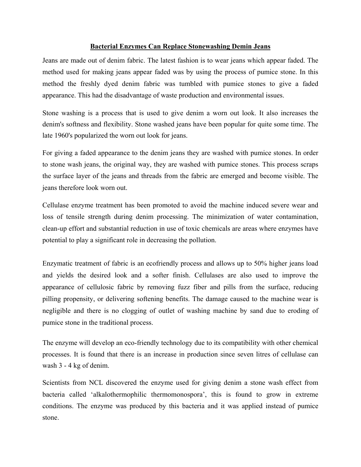## **Bacterial Enzymes Can Replace Stonewashing Demin Jeans**

Jeans are made out of denim fabric. The latest fashion is to wear jeans which appear faded. The method used for making jeans appear faded was by using the process of pumice stone. In this method the freshly dyed denim fabric was tumbled with pumice stones to give a faded appearance. This had the disadvantage of waste production and environmental issues.

Stone washing is a process that is used to give denim a worn out look. It also increases the denim's softness and flexibility. Stone washed jeans have been popular for quite some time. The late 1960's popularized the worn out look for jeans.

For giving a faded appearance to the denim jeans they are washed with pumice stones. In order to stone wash jeans, the original way, they are washed with pumice stones. This process scraps the surface layer of the jeans and threads from the fabric are emerged and become visible. The jeans therefore look worn out.

Cellulase enzyme treatment has been promoted to avoid the machine induced severe wear and loss of tensile strength during denim processing. The minimization of water contamination, clean-up effort and substantial reduction in use of toxic chemicals are areas where enzymes have potential to play a significant role in decreasing the pollution.

Enzymatic treatment of fabric is an ecofriendly process and allows up to 50% higher jeans load and yields the desired look and a softer finish. Cellulases are also used to improve the appearance of cellulosic fabric by removing fuzz fiber and pills from the surface, reducing pilling propensity, or delivering softening benefits. The damage caused to the machine wear is negligible and there is no clogging of outlet of washing machine by sand due to eroding of pumice stone in the traditional process.

The enzyme will develop an eco-friendly technology due to its compatibility with other chemical processes. It is found that there is an increase in production since seven litres of cellulase can wash 3 - 4 kg of denim.

Scientists from NCL discovered the enzyme used for giving denim a stone wash effect from bacteria called 'alkalothermophilic thermomonospora', this is found to grow in extreme conditions. The enzyme was produced by this bacteria and it was applied instead of pumice stone.